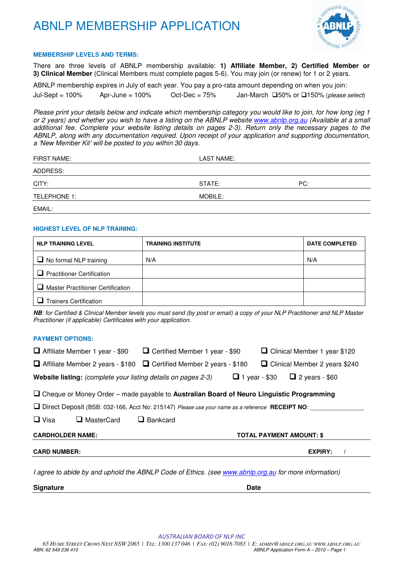

#### **MEMBERSHIP LEVELS AND TERMS:**

There are three levels of ABNLP membership available: **1) Affiliate Member, 2) Certified Member or 3) Clinical Member** (Clinical Members must complete pages 5-6). You may join (or renew) for 1 or 2 years.

ABNLP membership expires in July of each year. You pay a pro-rata amount depending on when you join: Jul-Sept = 100% Apr-June = 100% Oct-Dec = 75% Jan-March  $\Box$ 50% or  $\Box$ 150% (please select)

Please print your details below and indicate which membership category you would like to join, for how long (eg 1 or 2 years) and whether you wish to have a listing on the ABNLP website www.abnlp.org.au (Available at a small additional fee. Complete your website listing details on pages 2-3). Return only the necessary pages to the ABNLP, along with any documentation required. Upon receipt of your application and supporting documentation, a 'New Member Kit' will be posted to you within 30 days.

| FIRST NAME:  | LAST NAME: |     |  |
|--------------|------------|-----|--|
| ADDRESS:     |            |     |  |
| CITY:        | STATE:     | PC: |  |
| TELEPHONE 1: | MOBILE:    |     |  |
| EMAIL:       |            |     |  |

#### **HIGHEST LEVEL OF NLP TRAINING:**

| <b>NLP TRAINING LEVEL</b>                | <b>TRAINING INSTITUTE</b> | <b>DATE COMPLETED</b> |
|------------------------------------------|---------------------------|-----------------------|
| $\Box$ No formal NLP training            | N/A                       | N/A                   |
| $\Box$ Practitioner Certification        |                           |                       |
| $\Box$ Master Practitioner Certification |                           |                       |
| <b>Trainers Certification</b>            |                           |                       |

**NB**: for Certified & Clinical Member levels you must send (by post or email) a copy of your NLP Practitioner and NLP Master Practitioner (if applicable) Certificates with your application.

#### **PAYMENT OPTIONS:**

| $\Box$ Affiliate Member 1 year - \$90                                                                | □ Certified Member 1 year - \$90                                                                              | □ Clinical Member 1 year \$120                |  |  |  |  |
|------------------------------------------------------------------------------------------------------|---------------------------------------------------------------------------------------------------------------|-----------------------------------------------|--|--|--|--|
| $\Box$ Affiliate Member 2 years - \$180 $\Box$ Certified Member 2 years - \$180                      |                                                                                                               | □ Clinical Member 2 years \$240               |  |  |  |  |
| <b>Website listing:</b> (complete your listing details on pages 2-3)                                 |                                                                                                               | $\Box$ 2 years - \$60<br>$\Box$ 1 year - \$30 |  |  |  |  |
| $\Box$ Cheque or Money Order – made payable to Australian Board of Neuro Linguistic Programming      |                                                                                                               |                                               |  |  |  |  |
|                                                                                                      | $\Box$ Direct Deposit (BSB: 032-166, Acct No: 215147) Please use your name as a reference <b>RECEIPT NO</b> : |                                               |  |  |  |  |
| $\Box$ Visa<br>$\Box$ MasterCard                                                                     | $\Box$ Bankcard                                                                                               |                                               |  |  |  |  |
| <b>CARDHOLDER NAME:</b><br><b>TOTAL PAYMENT AMOUNT: \$</b>                                           |                                                                                                               |                                               |  |  |  |  |
| <b>CARD NUMBER:</b>                                                                                  |                                                                                                               | <b>EXPIRY:</b>                                |  |  |  |  |
| I agree to abide by and uphold the ABNLP Code of Ethics. (see www.abnlp.org.au for more information) |                                                                                                               |                                               |  |  |  |  |
| <b>Signature</b>                                                                                     |                                                                                                               | Date                                          |  |  |  |  |

AUSTRALIAN BOARD OF NLP INC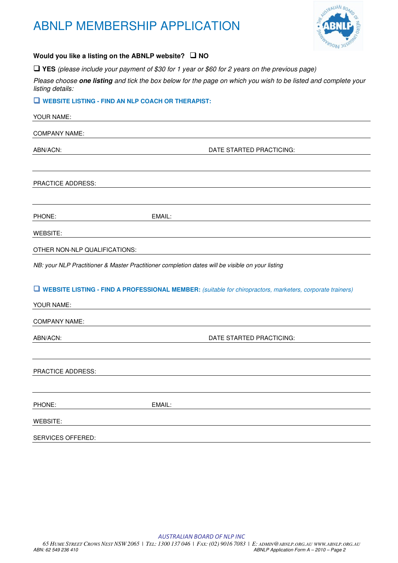

### Would you like a listing on the ABNLP website? □ NO

**YES** (please include your payment of \$30 for 1 year or \$60 for 2 years on the previous page)

Please choose **one listing** and tick the box below for the page on which you wish to be listed and complete your listing details:

### **WEBSITE LISTING - FIND AN NLP COACH OR THERAPIST:**

| YOUR NAME:                    |                                                                                                                    |  |
|-------------------------------|--------------------------------------------------------------------------------------------------------------------|--|
| <b>COMPANY NAME:</b>          |                                                                                                                    |  |
| ABN/ACN:                      | DATE STARTED PRACTICING:                                                                                           |  |
| PRACTICE ADDRESS:             |                                                                                                                    |  |
| PHONE:                        | EMAIL:                                                                                                             |  |
| WEBSITE:                      |                                                                                                                    |  |
| OTHER NON-NLP QUALIFICATIONS: |                                                                                                                    |  |
|                               | NB: your NLP Practitioner & Master Practitioner completion dates will be visible on your listing                   |  |
| YOUR NAME:                    | <b>U</b> WEBSITE LISTING - FIND A PROFESSIONAL MEMBER: (suitable for chiropractors, marketers, corporate trainers) |  |
| <b>COMPANY NAME:</b>          |                                                                                                                    |  |
| ABN/ACN:                      | DATE STARTED PRACTICING:                                                                                           |  |
| PRACTICE ADDRESS:             |                                                                                                                    |  |
| PHONE:                        | EMAIL:                                                                                                             |  |
| <b>WEBSITE:</b>               |                                                                                                                    |  |
| SERVICES OFFERED:             |                                                                                                                    |  |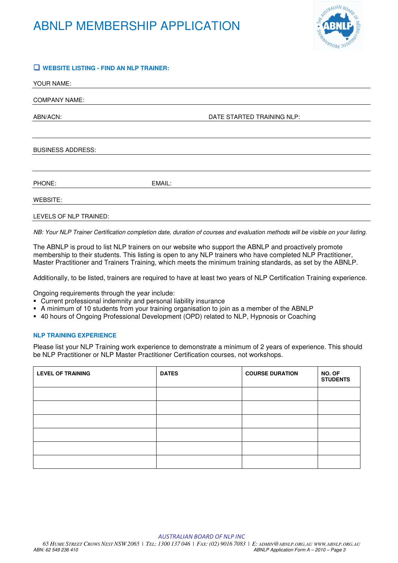

### **WEBSITE LISTING - FIND AN NLP TRAINER:**

| YOUR NAME:               |        |                            |  |
|--------------------------|--------|----------------------------|--|
| <b>COMPANY NAME:</b>     |        |                            |  |
| ABN/ACN:                 |        | DATE STARTED TRAINING NLP: |  |
|                          |        |                            |  |
| <b>BUSINESS ADDRESS:</b> |        |                            |  |
|                          |        |                            |  |
| PHONE:                   | EMAIL: |                            |  |
| WEBSITE:                 |        |                            |  |
| LEVELS OF NLP TRAINED:   |        |                            |  |

NB: Your NLP Trainer Certification completion date, duration of courses and evaluation methods will be visible on your listing.

The ABNLP is proud to list NLP trainers on our website who support the ABNLP and proactively promote membership to their students. This listing is open to any NLP trainers who have completed NLP Practitioner, Master Practitioner and Trainers Training, which meets the minimum training standards, as set by the ABNLP.

Additionally, to be listed, trainers are required to have at least two years of NLP Certification Training experience.

Ongoing requirements through the year include:

- Current professional indemnity and personal liability insurance
- A minimum of 10 students from your training organisation to join as a member of the ABNLP
- 40 hours of Ongoing Professional Development (OPD) related to NLP, Hypnosis or Coaching

### **NLP TRAINING EXPERIENCE**

Please list your NLP Training work experience to demonstrate a minimum of 2 years of experience. This should be NLP Practitioner or NLP Master Practitioner Certification courses, not workshops.

| <b>LEVEL OF TRAINING</b> | <b>DATES</b> | <b>COURSE DURATION</b> | NO. OF<br><b>STUDENTS</b> |
|--------------------------|--------------|------------------------|---------------------------|
|                          |              |                        |                           |
|                          |              |                        |                           |
|                          |              |                        |                           |
|                          |              |                        |                           |
|                          |              |                        |                           |
|                          |              |                        |                           |

AUSTRALIAN BOARD OF NLP INC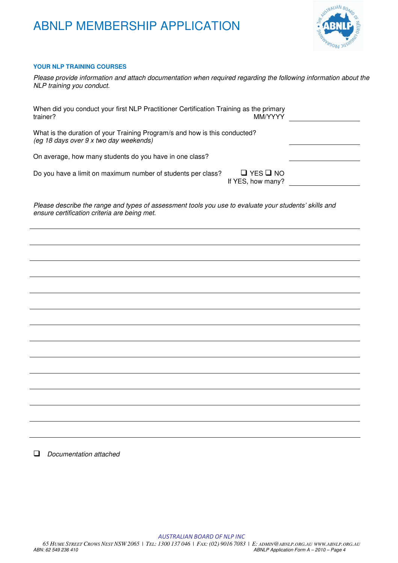

### **YOUR NLP TRAINING COURSES**

| Please provide information and attach documentation when required regarding the following information about the<br>NLP training you conduct.          |
|-------------------------------------------------------------------------------------------------------------------------------------------------------|
| When did you conduct your first NLP Practitioner Certification Training as the primary<br>trainer?<br>MM/YYYY                                         |
| What is the duration of your Training Program/s and how is this conducted?<br>(eg 18 days over 9 x two day weekends)                                  |
| On average, how many students do you have in one class?                                                                                               |
| $\Box$ YES $\Box$ NO<br>Do you have a limit on maximum number of students per class?<br>If YES, how many?                                             |
| Please describe the range and types of assessment tools you use to evaluate your students' skills and<br>ensure certification criteria are being met. |
|                                                                                                                                                       |
|                                                                                                                                                       |
|                                                                                                                                                       |
|                                                                                                                                                       |
|                                                                                                                                                       |
|                                                                                                                                                       |
|                                                                                                                                                       |
|                                                                                                                                                       |
|                                                                                                                                                       |
|                                                                                                                                                       |
|                                                                                                                                                       |
|                                                                                                                                                       |
|                                                                                                                                                       |
|                                                                                                                                                       |

Documentation attached

AUSTRALIAN BOARD OF NLP INC 65 HUME STREET CROWS NEST NSW 2065 | TEL: 1300 137 046 | FAX: (02) 9016 7083 | E: ADMIN@ABNLP.ORG.AU WWW.ABNLP.ORG.AU<br>ABN: 62 549 236 410 ABNLP Application Form A - 2010 - Page 4 ABNLP Application Form A - 2010 - Page 4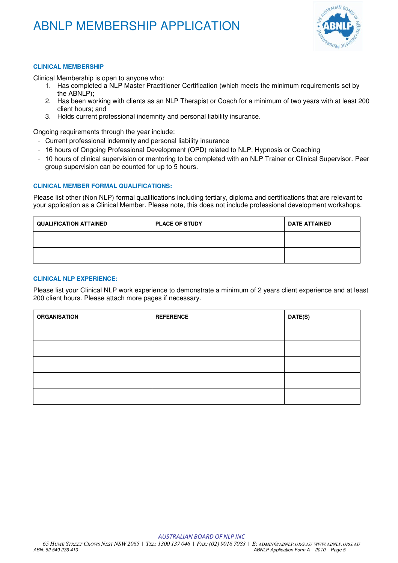

### **CLINICAL MEMBERSHIP**

Clinical Membership is open to anyone who:

- 1. Has completed a NLP Master Practitioner Certification (which meets the minimum requirements set by the ABNLP);
- 2. Has been working with clients as an NLP Therapist or Coach for a minimum of two years with at least 200 client hours; and
- 3. Holds current professional indemnity and personal liability insurance.

Ongoing requirements through the year include:

- Current professional indemnity and personal liability insurance
- 16 hours of Ongoing Professional Development (OPD) related to NLP, Hypnosis or Coaching
- 10 hours of clinical supervision or mentoring to be completed with an NLP Trainer or Clinical Supervisor. Peer group supervision can be counted for up to 5 hours.

### **CLINICAL MEMBER FORMAL QUALIFICATIONS:**

Please list other (Non NLP) formal qualifications including tertiary, diploma and certifications that are relevant to your application as a Clinical Member. Please note, this does not include professional development workshops.

| <b>QUALIFICATION ATTAINED</b> | <b>PLACE OF STUDY</b> | <b>DATE ATTAINED</b> |
|-------------------------------|-----------------------|----------------------|
|                               |                       |                      |
|                               |                       |                      |

### **CLINICAL NLP EXPERIENCE:**

Please list your Clinical NLP work experience to demonstrate a minimum of 2 years client experience and at least 200 client hours. Please attach more pages if necessary.

| <b>ORGANISATION</b> | <b>REFERENCE</b> | DATE(S) |
|---------------------|------------------|---------|
|                     |                  |         |
|                     |                  |         |
|                     |                  |         |
|                     |                  |         |
|                     |                  |         |